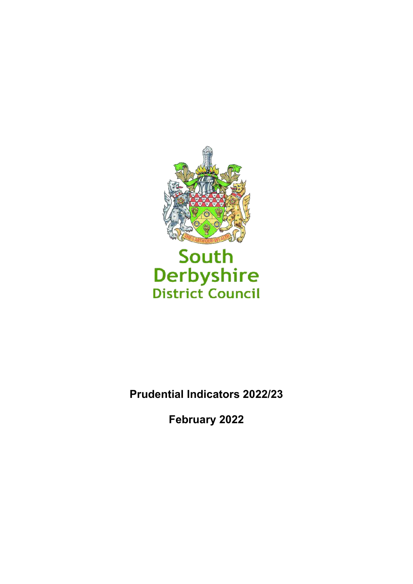

# South Derbyshire<br>District Council

**Prudential Indicators 2022/23** 

**February 2022**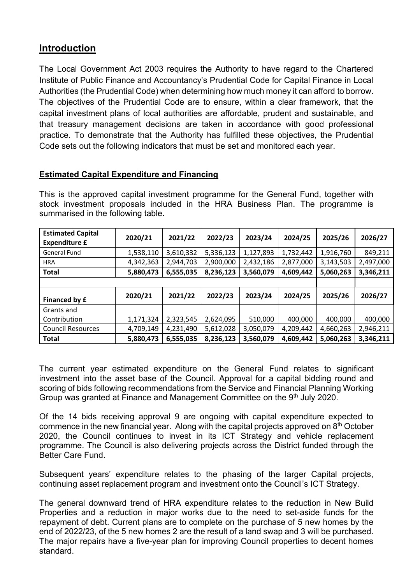# **Introduction**

The Local Government Act 2003 requires the Authority to have regard to the Chartered Institute of Public Finance and Accountancy's Prudential Code for Capital Finance in Local Authorities (the Prudential Code) when determining how much money it can afford to borrow. The objectives of the Prudential Code are to ensure, within a clear framework, that the capital investment plans of local authorities are affordable, prudent and sustainable, and that treasury management decisions are taken in accordance with good professional practice. To demonstrate that the Authority has fulfilled these objectives, the Prudential Code sets out the following indicators that must be set and monitored each year.

# **Estimated Capital Expenditure and Financing**

This is the approved capital investment programme for the General Fund, together with stock investment proposals included in the HRA Business Plan. The programme is summarised in the following table.

| <b>Estimated Capital</b><br><b>Expenditure £</b> | 2020/21   | 2021/22   | 2022/23   | 2023/24   | 2024/25   | 2025/26   | 2026/27   |
|--------------------------------------------------|-----------|-----------|-----------|-----------|-----------|-----------|-----------|
| <b>General Fund</b>                              | 1,538,110 | 3,610,332 | 5,336,123 | 1,127,893 | 1,732,442 | 1,916,760 | 849,211   |
| <b>HRA</b>                                       | 4,342,363 | 2,944,703 | 2,900,000 | 2,432,186 | 2,877,000 | 3,143,503 | 2,497,000 |
| <b>Total</b>                                     | 5,880,473 | 6,555,035 | 8,236,123 | 3,560,079 | 4,609,442 | 5,060,263 | 3,346,211 |
|                                                  |           |           |           |           |           |           |           |
|                                                  |           |           |           |           |           |           |           |
| Financed by £                                    | 2020/21   | 2021/22   | 2022/23   | 2023/24   | 2024/25   | 2025/26   | 2026/27   |
| Grants and                                       |           |           |           |           |           |           |           |
| Contribution                                     | 1,171,324 | 2,323,545 | 2,624,095 | 510,000   | 400,000   | 400,000   | 400,000   |
| <b>Council Resources</b>                         | 4,709,149 | 4,231,490 | 5,612,028 | 3,050,079 | 4,209,442 | 4,660,263 | 2,946,211 |

The current year estimated expenditure on the General Fund relates to significant investment into the asset base of the Council. Approval for a capital bidding round and scoring of bids following recommendations from the Service and Financial Planning Working Group was granted at Finance and Management Committee on the 9<sup>th</sup> July 2020.

Of the 14 bids receiving approval 9 are ongoing with capital expenditure expected to commence in the new financial year. Along with the capital projects approved on  $8<sup>th</sup>$  October 2020, the Council continues to invest in its ICT Strategy and vehicle replacement programme. The Council is also delivering projects across the District funded through the Better Care Fund.

Subsequent years' expenditure relates to the phasing of the larger Capital projects, continuing asset replacement program and investment onto the Council's ICT Strategy.

The general downward trend of HRA expenditure relates to the reduction in New Build Properties and a reduction in major works due to the need to set-aside funds for the repayment of debt. Current plans are to complete on the purchase of 5 new homes by the end of 2022/23, of the 5 new homes 2 are the result of a land swap and 3 will be purchased. The major repairs have a five-year plan for improving Council properties to decent homes standard.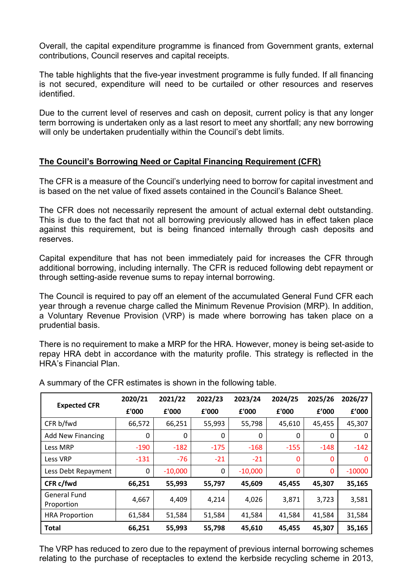Overall, the capital expenditure programme is financed from Government grants, external contributions, Council reserves and capital receipts.

The table highlights that the five-year investment programme is fully funded. If all financing is not secured, expenditure will need to be curtailed or other resources and reserves identified.

Due to the current level of reserves and cash on deposit, current policy is that any longer term borrowing is undertaken only as a last resort to meet any shortfall; any new borrowing will only be undertaken prudentially within the Council's debt limits.

### **The Council's Borrowing Need or Capital Financing Requirement (CFR)**

The CFR is a measure of the Council's underlying need to borrow for capital investment and is based on the net value of fixed assets contained in the Council's Balance Sheet.

The CFR does not necessarily represent the amount of actual external debt outstanding. This is due to the fact that not all borrowing previously allowed has in effect taken place against this requirement, but is being financed internally through cash deposits and reserves.

Capital expenditure that has not been immediately paid for increases the CFR through additional borrowing, including internally. The CFR is reduced following debt repayment or through setting-aside revenue sums to repay internal borrowing.

The Council is required to pay off an element of the accumulated General Fund CFR each year through a revenue charge called the Minimum Revenue Provision (MRP). In addition, a Voluntary Revenue Provision (VRP) is made where borrowing has taken place on a prudential basis.

There is no requirement to make a MRP for the HRA. However, money is being set-aside to repay HRA debt in accordance with the maturity profile. This strategy is reflected in the HRA's Financial Plan.

|                                   | 2020/21 | 2021/22   | 2022/23 | 2023/24   | 2024/25      | 2025/26 | 2026/27  |
|-----------------------------------|---------|-----------|---------|-----------|--------------|---------|----------|
| <b>Expected CFR</b>               | £'000   | £'000     | £'000   | £'000     | £'000        | f'000   | f'000    |
| CFR b/fwd                         | 66,572  | 66,251    | 55,993  | 55,798    | 45,610       | 45,455  | 45,307   |
| <b>Add New Financing</b>          | 0       | 0         | 0       | 0         | 0            | 0       | 0        |
| Less MRP                          | $-190$  | $-182$    | $-175$  | $-168$    | $-155$       | $-148$  | $-142$   |
| Less VRP                          | $-131$  | $-76$     | $-21$   | $-21$     | $\mathbf{0}$ | 0       | 0        |
| Less Debt Repayment               | 0       | $-10,000$ | 0       | $-10,000$ | 0            | 0       | $-10000$ |
| CFR c/fwd                         | 66,251  | 55,993    | 55,797  | 45,609    | 45,455       | 45,307  | 35,165   |
| <b>General Fund</b><br>Proportion | 4,667   | 4,409     | 4,214   | 4,026     | 3,871        | 3,723   | 3,581    |
| <b>HRA Proportion</b>             | 61,584  | 51,584    | 51,584  | 41,584    | 41,584       | 41,584  | 31,584   |
| <b>Total</b>                      | 66,251  | 55,993    | 55,798  | 45,610    | 45,455       | 45,307  | 35,165   |

A summary of the CFR estimates is shown in the following table.

The VRP has reduced to zero due to the repayment of previous internal borrowing schemes relating to the purchase of receptacles to extend the kerbside recycling scheme in 2013,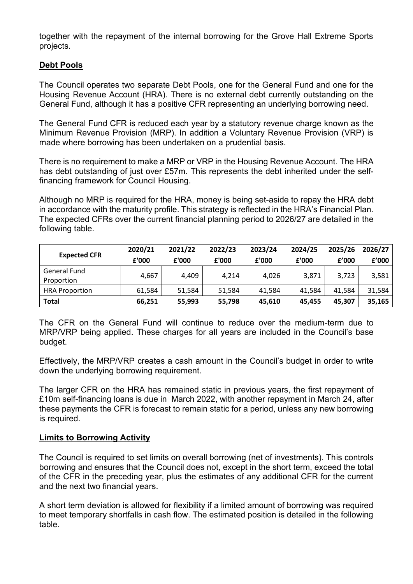together with the repayment of the internal borrowing for the Grove Hall Extreme Sports projects.

# **Debt Pools**

The Council operates two separate Debt Pools, one for the General Fund and one for the Housing Revenue Account (HRA). There is no external debt currently outstanding on the General Fund, although it has a positive CFR representing an underlying borrowing need.

The General Fund CFR is reduced each year by a statutory revenue charge known as the Minimum Revenue Provision (MRP). In addition a Voluntary Revenue Provision (VRP) is made where borrowing has been undertaken on a prudential basis.

There is no requirement to make a MRP or VRP in the Housing Revenue Account. The HRA has debt outstanding of just over £57m. This represents the debt inherited under the selffinancing framework for Council Housing.

Although no MRP is required for the HRA, money is being set-aside to repay the HRA debt in accordance with the maturity profile. This strategy is reflected in the HRA's Financial Plan. The expected CFRs over the current financial planning period to 2026/27 are detailed in the following table.

| <b>Expected CFR</b>               | 2020/21<br>£'000 | 2021/22<br>£'000 | 2022/23<br>£'000 | 2023/24<br>£'000 | 2024/25<br>£'000 | 2025/26<br>f'000 | 2026/27<br>£'000 |
|-----------------------------------|------------------|------------------|------------------|------------------|------------------|------------------|------------------|
| <b>General Fund</b><br>Proportion | 4,667            | 4,409            | 4.214            | 4,026            | 3,871            | 3,723            | 3,581            |
| <b>HRA Proportion</b>             | 61,584           | 51,584           | 51,584           | 41,584           | 41,584           | 41,584           | 31,584           |
| <b>Total</b>                      | 66,251           | 55,993           | 55,798           | 45,610           | 45,455           | 45,307           | 35,165           |

The CFR on the General Fund will continue to reduce over the medium-term due to MRP/VRP being applied. These charges for all years are included in the Council's base budget.

Effectively, the MRP/VRP creates a cash amount in the Council's budget in order to write down the underlying borrowing requirement.

The larger CFR on the HRA has remained static in previous years, the first repayment of £10m self-financing loans is due in March 2022, with another repayment in March 24, after these payments the CFR is forecast to remain static for a period, unless any new borrowing is required.

#### **Limits to Borrowing Activity**

The Council is required to set limits on overall borrowing (net of investments). This controls borrowing and ensures that the Council does not, except in the short term, exceed the total of the CFR in the preceding year, plus the estimates of any additional CFR for the current and the next two financial years.

A short term deviation is allowed for flexibility if a limited amount of borrowing was required to meet temporary shortfalls in cash flow. The estimated position is detailed in the following table.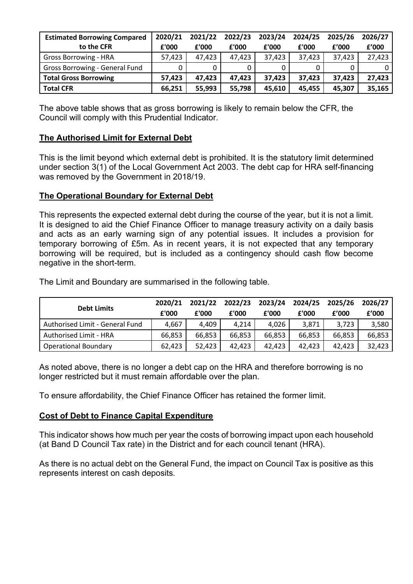| <b>Estimated Borrowing Compared</b> | 2020/21 | 2021/22 | 2022/23 | 2023/24 | 2024/25 | 2025/26 | 2026/27 |
|-------------------------------------|---------|---------|---------|---------|---------|---------|---------|
| to the CFR                          | £'000   | £'000   | £'000   | £'000   | £'000   | f'000   | £'000   |
| <b>Gross Borrowing - HRA</b>        | 57,423  | 47.423  | 47.423  | 37,423  | 37,423  | 37,423  | 27,423  |
| Gross Borrowing - General Fund      |         |         |         |         |         |         |         |
| <b>Total Gross Borrowing</b>        | 57,423  | 47,423  | 47,423  | 37,423  | 37,423  | 37,423  | 27,423  |
| <b>Total CFR</b>                    | 66,251  | 55,993  | 55,798  | 45,610  | 45,455  | 45,307  | 35,165  |

The above table shows that as gross borrowing is likely to remain below the CFR, the Council will comply with this Prudential Indicator.

# **The Authorised Limit for External Debt**

This is the limit beyond which external debt is prohibited. It is the statutory limit determined under section 3(1) of the Local Government Act 2003. The debt cap for HRA self-financing was removed by the Government in 2018/19.

#### **The Operational Boundary for External Debt**

This represents the expected external debt during the course of the year, but it is not a limit. It is designed to aid the Chief Finance Officer to manage treasury activity on a daily basis and acts as an early warning sign of any potential issues. It includes a provision for temporary borrowing of £5m. As in recent years, it is not expected that any temporary borrowing will be required, but is included as a contingency should cash flow become negative in the short-term.

The Limit and Boundary are summarised in the following table.

|                                 | 2020/21 | 2021/22 | 2022/23 | 2023/24 | 2024/25 | 2025/26 | 2026/27 |
|---------------------------------|---------|---------|---------|---------|---------|---------|---------|
| <b>Debt Limits</b>              | £'000   | £'000   | £'000   | £'000   | £'000   | f'000   | £'000   |
| Authorised Limit - General Fund | 4,667   | 4,409   | 4,214   | 4,026   | 3,871   | 3,723   | 3,580   |
| Authorised Limit - HRA          | 66,853  | 66,853  | 66,853  | 66,853  | 66,853  | 66,853  | 66,853  |
| <b>Operational Boundary</b>     | 62,423  | 52,423  | 42,423  | 42,423  | 42,423  | 42.423  | 32,423  |

As noted above, there is no longer a debt cap on the HRA and therefore borrowing is no longer restricted but it must remain affordable over the plan.

To ensure affordability, the Chief Finance Officer has retained the former limit.

#### **Cost of Debt to Finance Capital Expenditure**

This indicator shows how much per year the costs of borrowing impact upon each household (at Band D Council Tax rate) in the District and for each council tenant (HRA).

As there is no actual debt on the General Fund, the impact on Council Tax is positive as this represents interest on cash deposits.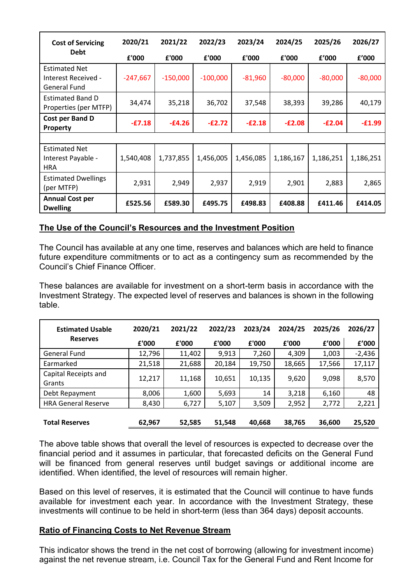| <b>Cost of Servicing</b>                                           | 2020/21    | 2021/22    | 2022/23    | 2023/24   | 2024/25   | 2025/26   | 2026/27   |
|--------------------------------------------------------------------|------------|------------|------------|-----------|-----------|-----------|-----------|
| <b>Debt</b>                                                        | £'000      | £'000      | £'000      | £'000     | £'000     | f'000     | f'000     |
| <b>Estimated Net</b><br>Interest Received -<br><b>General Fund</b> | $-247,667$ | $-150,000$ | $-100,000$ | $-81,960$ | $-80,000$ | $-80,000$ | $-80,000$ |
| <b>Estimated Band D</b><br>Properties (per MTFP)                   | 34,474     | 35,218     | 36,702     | 37,548    | 38,393    | 39,286    | 40,179    |
| Cost per Band D<br><b>Property</b>                                 | $-E7.18$   | $-E4.26$   | $-E2.72$   | $-E2.18$  | $-E2.08$  | $-E2.04$  | $-£1.99$  |
|                                                                    |            |            |            |           |           |           |           |
| <b>Estimated Net</b><br>Interest Payable -<br><b>HRA</b>           | 1,540,408  | 1,737,855  | 1,456,005  | 1,456,085 | 1,186,167 | 1,186,251 | 1,186,251 |
| <b>Estimated Dwellings</b><br>(per MTFP)                           | 2,931      | 2,949      | 2,937      | 2,919     | 2,901     | 2,883     | 2,865     |
| <b>Annual Cost per</b><br><b>Dwelling</b>                          | £525.56    | £589.30    | £495.75    | £498.83   | £408.88   | £411.46   | £414.05   |

### **The Use of the Council's Resources and the Investment Position**

The Council has available at any one time, reserves and balances which are held to finance future expenditure commitments or to act as a contingency sum as recommended by the Council's Chief Finance Officer.

These balances are available for investment on a short-term basis in accordance with the Investment Strategy. The expected level of reserves and balances is shown in the following table.

| <b>Estimated Usable</b>        | 2020/21 | 2021/22 | 2022/23 | 2023/24 | 2024/25 | 2025/26 | 2026/27  |
|--------------------------------|---------|---------|---------|---------|---------|---------|----------|
| <b>Reserves</b>                | £'000   | £'000   | £'000   | £'000   | £'000   | f'000   | £'000    |
| <b>General Fund</b>            | 12,796  | 11,402  | 9,913   | 7,260   | 4,309   | 1,003   | $-2,436$ |
| Earmarked                      | 21,518  | 21,688  | 20,184  | 19,750  | 18,665  | 17,566  | 17,117   |
| Capital Receipts and<br>Grants | 12,217  | 11,168  | 10,651  | 10,135  | 9,620   | 9,098   | 8,570    |
| Debt Repayment                 | 8,006   | 1,600   | 5,693   | 14      | 3,218   | 6,160   | 48       |
| <b>HRA General Reserve</b>     | 8,430   | 6,727   | 5,107   | 3,509   | 2,952   | 2,772   | 2,221    |
| <b>Total Reserves</b>          | 62,967  | 52,585  | 51,548  | 40,668  | 38,765  | 36,600  | 25,520   |

The above table shows that overall the level of resources is expected to decrease over the financial period and it assumes in particular, that forecasted deficits on the General Fund will be financed from general reserves until budget savings or additional income are identified. When identified, the level of resources will remain higher.

Based on this level of reserves, it is estimated that the Council will continue to have funds available for investment each year. In accordance with the Investment Strategy, these investments will continue to be held in short-term (less than 364 days) deposit accounts.

#### **Ratio of Financing Costs to Net Revenue Stream**

This indicator shows the trend in the net cost of borrowing (allowing for investment income) against the net revenue stream, i.e. Council Tax for the General Fund and Rent Income for